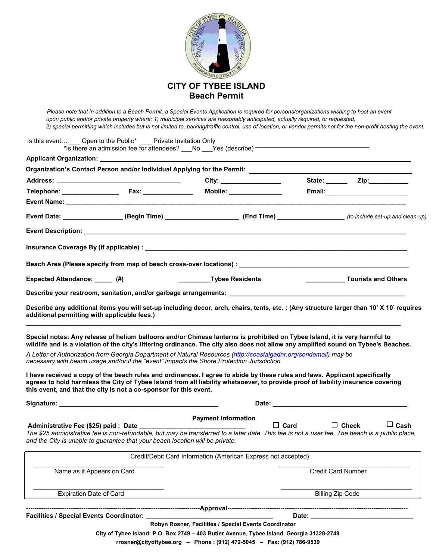

*Please note that in addition to a Beach Permit, a Special Events Application is required for persons/organizations wishing to host an event upon public and/or private property where: 1) municipal services are reasonably anticipated, actually required, or requested, 2) special permitting which includes but is not limited to, parking/traffic control, use of location, or vendor permits not for the non-profit hosting the event.*

| A Letter of Authorization from Georgia Department of Natural Resources (http://coastalgadnr.org/sendemail) may be | this event, and that the city is not a co-sponsor for this event.<br>Administrative Fee (\$25) paid : Date _______<br>and the City is unable to guarantee that your beach location will be private. | necessary with beach usage and/or if the "event" impacts the Shore Protection Jurisdiction.<br>I have received a copy of the beach rules and ordinances. I agree to abide by these rules and laws. Applicant specifically<br>agrees to hold harmless the City of Tybee Island from all liability whatsoever, to provide proof of liability insurance covering<br><b>Payment Information</b><br>The \$25 administrative fee is non-refundable, but may be transferred to a later date. This fee is not a user fee. The beach is a public place,<br>Credit/Debit Card Information (American Express not accepted) | $\Box$ Card | $\Box$ Cash<br>$\Box$ Check               |
|-------------------------------------------------------------------------------------------------------------------|-----------------------------------------------------------------------------------------------------------------------------------------------------------------------------------------------------|-----------------------------------------------------------------------------------------------------------------------------------------------------------------------------------------------------------------------------------------------------------------------------------------------------------------------------------------------------------------------------------------------------------------------------------------------------------------------------------------------------------------------------------------------------------------------------------------------------------------|-------------|-------------------------------------------|
|                                                                                                                   |                                                                                                                                                                                                     |                                                                                                                                                                                                                                                                                                                                                                                                                                                                                                                                                                                                                 |             |                                           |
|                                                                                                                   |                                                                                                                                                                                                     |                                                                                                                                                                                                                                                                                                                                                                                                                                                                                                                                                                                                                 |             |                                           |
|                                                                                                                   |                                                                                                                                                                                                     |                                                                                                                                                                                                                                                                                                                                                                                                                                                                                                                                                                                                                 |             |                                           |
|                                                                                                                   |                                                                                                                                                                                                     |                                                                                                                                                                                                                                                                                                                                                                                                                                                                                                                                                                                                                 |             |                                           |
|                                                                                                                   |                                                                                                                                                                                                     |                                                                                                                                                                                                                                                                                                                                                                                                                                                                                                                                                                                                                 |             |                                           |
|                                                                                                                   |                                                                                                                                                                                                     | Special notes: Any release of helium balloons and/or Chinese lanterns is prohibited on Tybee Island, it is very harmful to<br>wildlife and is a violation of the city's littering ordinance. The city also does not allow any amplified sound on Tybee's Beaches.                                                                                                                                                                                                                                                                                                                                               |             |                                           |
| additional permitting with applicable fees.)                                                                      |                                                                                                                                                                                                     | Describe any additional items you will set-up including decor, arch, chairs, tents, etc. : (Any structure larger than 10' X 10' requires                                                                                                                                                                                                                                                                                                                                                                                                                                                                        |             |                                           |
|                                                                                                                   |                                                                                                                                                                                                     | Describe your restroom, sanitation, and/or garbage arrangements: [1999] Describe your restroom, sanitation, and/or garbage arrangements: [1999] Described and the set of the set of the set of the set of the set of the set o                                                                                                                                                                                                                                                                                                                                                                                  |             |                                           |
| Expected Attendance: (#)                                                                                          |                                                                                                                                                                                                     | _________________Tybee Residents                                                                                                                                                                                                                                                                                                                                                                                                                                                                                                                                                                                |             | _____________________ Tourists and Others |
|                                                                                                                   |                                                                                                                                                                                                     |                                                                                                                                                                                                                                                                                                                                                                                                                                                                                                                                                                                                                 |             |                                           |
|                                                                                                                   |                                                                                                                                                                                                     |                                                                                                                                                                                                                                                                                                                                                                                                                                                                                                                                                                                                                 |             |                                           |
|                                                                                                                   |                                                                                                                                                                                                     |                                                                                                                                                                                                                                                                                                                                                                                                                                                                                                                                                                                                                 |             |                                           |
|                                                                                                                   |                                                                                                                                                                                                     | Event Date: ________________(Begin Time) _____________________(End Time) ____________________(to include set-up and clean-up)                                                                                                                                                                                                                                                                                                                                                                                                                                                                                   |             |                                           |
|                                                                                                                   |                                                                                                                                                                                                     | Mobile: _______________                                                                                                                                                                                                                                                                                                                                                                                                                                                                                                                                                                                         |             |                                           |
|                                                                                                                   |                                                                                                                                                                                                     | City: ________________                                                                                                                                                                                                                                                                                                                                                                                                                                                                                                                                                                                          |             |                                           |
|                                                                                                                   |                                                                                                                                                                                                     | Organization's Contact Person and/or Individual Applying for the Permit: [1988] [1989] Contact Person and/or Individual Applying for the Permit: [1989] [1989] [1989] [1989] [1989] [1989] [1989] [1989] [1989] [1989] [1989]                                                                                                                                                                                                                                                                                                                                                                                   |             |                                           |

 **rrosner@cityoftybee.org – Phone : (912) 472-5045 – Fax: (912) 786-9539**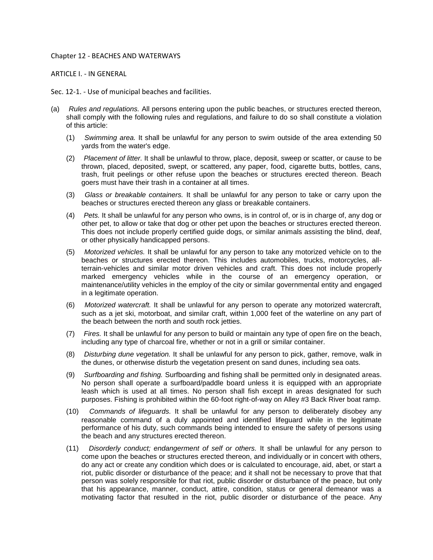## Chapter 12 - BEACHES AND WATERWAYS

## ARTICLE I. - IN GENERAL

Sec. 12-1. - Use of municipal beaches and facilities.

- (a) *Rules and regulations.* All persons entering upon the public beaches, or structures erected thereon, shall comply with the following rules and regulations, and failure to do so shall constitute a violation of this article:
	- (1) *Swimming area.* It shall be unlawful for any person to swim outside of the area extending 50 yards from the water's edge.
	- (2) *Placement of litter.* It shall be unlawful to throw, place, deposit, sweep or scatter, or cause to be thrown, placed, deposited, swept, or scattered, any paper, food, cigarette butts, bottles, cans, trash, fruit peelings or other refuse upon the beaches or structures erected thereon. Beach goers must have their trash in a container at all times.
	- (3) *Glass or breakable containers.* It shall be unlawful for any person to take or carry upon the beaches or structures erected thereon any glass or breakable containers.
	- (4) *Pets.* It shall be unlawful for any person who owns, is in control of, or is in charge of, any dog or other pet, to allow or take that dog or other pet upon the beaches or structures erected thereon. This does not include properly certified guide dogs, or similar animals assisting the blind, deaf, or other physically handicapped persons.
	- (5) *Motorized vehicles.* It shall be unlawful for any person to take any motorized vehicle on to the beaches or structures erected thereon. This includes automobiles, trucks, motorcycles, allterrain-vehicles and similar motor driven vehicles and craft. This does not include properly marked emergency vehicles while in the course of an emergency operation, or maintenance/utility vehicles in the employ of the city or similar governmental entity and engaged in a legitimate operation.
	- (6) *Motorized watercraft.* It shall be unlawful for any person to operate any motorized watercraft, such as a jet ski, motorboat, and similar craft, within 1,000 feet of the waterline on any part of the beach between the north and south rock jetties.
	- (7) *Fires.* It shall be unlawful for any person to build or maintain any type of open fire on the beach, including any type of charcoal fire, whether or not in a grill or similar container.
	- (8) *Disturbing dune vegetation.* It shall be unlawful for any person to pick, gather, remove, walk in the dunes, or otherwise disturb the vegetation present on sand dunes, including sea oats.
	- (9) *Surfboarding and fishing.* Surfboarding and fishing shall be permitted only in designated areas. No person shall operate a surfboard/paddle board unless it is equipped with an appropriate leash which is used at all times. No person shall fish except in areas designated for such purposes. Fishing is prohibited within the 60-foot right-of-way on Alley #3 Back River boat ramp.
	- (10) *Commands of lifeguards.* It shall be unlawful for any person to deliberately disobey any reasonable command of a duly appointed and identified lifeguard while in the legitimate performance of his duty, such commands being intended to ensure the safety of persons using the beach and any structures erected thereon.
	- (11) *Disorderly conduct; endangerment of self or others.* It shall be unlawful for any person to come upon the beaches or structures erected thereon, and individually or in concert with others, do any act or create any condition which does or is calculated to encourage, aid, abet, or start a riot, public disorder or disturbance of the peace; and it shall not be necessary to prove that that person was solely responsible for that riot, public disorder or disturbance of the peace, but only that his appearance, manner, conduct, attire, condition, status or general demeanor was a motivating factor that resulted in the riot, public disorder or disturbance of the peace. Any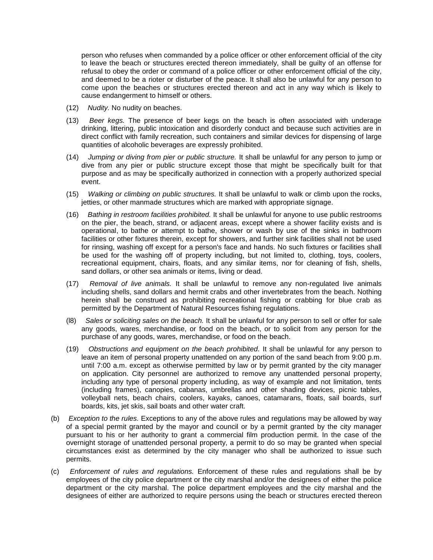person who refuses when commanded by a police officer or other enforcement official of the city to leave the beach or structures erected thereon immediately, shall be guilty of an offense for refusal to obey the order or command of a police officer or other enforcement official of the city, and deemed to be a rioter or disturber of the peace. It shall also be unlawful for any person to come upon the beaches or structures erected thereon and act in any way which is likely to cause endangerment to himself or others.

- (12) *Nudity.* No nudity on beaches.
- (13) *Beer kegs.* The presence of beer kegs on the beach is often associated with underage drinking, littering, public intoxication and disorderly conduct and because such activities are in direct conflict with family recreation, such containers and similar devices for dispensing of large quantities of alcoholic beverages are expressly prohibited.
- (14) *Jumping or diving from pier or public structure.* It shall be unlawful for any person to jump or dive from any pier or public structure except those that might be specifically built for that purpose and as may be specifically authorized in connection with a properly authorized special event.
- (15) *Walking or climbing on public structures.* It shall be unlawful to walk or climb upon the rocks, jetties, or other manmade structures which are marked with appropriate signage.
- (16) *Bathing in restroom facilities prohibited.* It shall be unlawful for anyone to use public restrooms on the pier, the beach, strand, or adjacent areas, except where a shower facility exists and is operational, to bathe or attempt to bathe, shower or wash by use of the sinks in bathroom facilities or other fixtures therein, except for showers, and further sink facilities shall not be used for rinsing, washing off except for a person's face and hands. No such fixtures or facilities shall be used for the washing off of property including, but not limited to, clothing, toys, coolers, recreational equipment, chairs, floats, and any similar items, nor for cleaning of fish, shells, sand dollars, or other sea animals or items, living or dead.
- (17) *Removal of live animals.* It shall be unlawful to remove any non-regulated live animals including shells, sand dollars and hermit crabs and other invertebrates from the beach. Nothing herein shall be construed as prohibiting recreational fishing or crabbing for blue crab as permitted by the Department of Natural Resources fishing regulations.
- (l8) *Sales or soliciting sales on the beach.* It shall be unlawful for any person to sell or offer for sale any goods, wares, merchandise, or food on the beach, or to solicit from any person for the purchase of any goods, wares, merchandise, or food on the beach.
- (19) *Obstructions and equipment on the beach prohibited.* It shall be unlawful for any person to leave an item of personal property unattended on any portion of the sand beach from 9:00 p.m. until 7:00 a.m. except as otherwise permitted by law or by permit granted by the city manager on application. City personnel are authorized to remove any unattended personal property, including any type of personal property including, as way of example and not limitation, tents (including frames), canopies, cabanas, umbrellas and other shading devices, picnic tables, volleyball nets, beach chairs, coolers, kayaks, canoes, catamarans, floats, sail boards, surf boards, kits, jet skis, sail boats and other water craft.
- (b) *Exception to the rules.* Exceptions to any of the above rules and regulations may be allowed by way of a special permit granted by the mayor and council or by a permit granted by the city manager pursuant to his or her authority to grant a commercial film production permit. In the case of the overnight storage of unattended personal property, a permit to do so may be granted when special circumstances exist as determined by the city manager who shall be authorized to issue such permits.
- (c) *Enforcement of rules and regulations.* Enforcement of these rules and regulations shall be by employees of the city police department or the city marshal and/or the designees of either the police department or the city marshal. The police department employees and the city marshal and the designees of either are authorized to require persons using the beach or structures erected thereon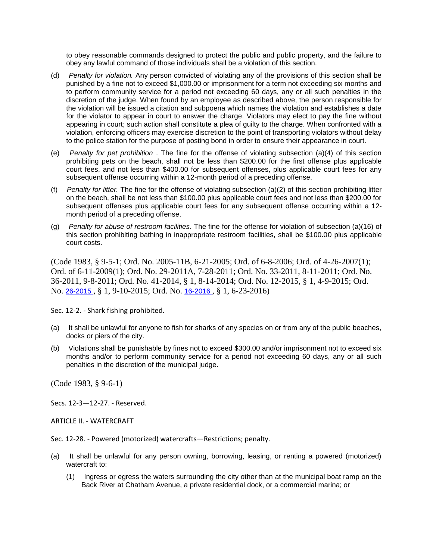to obey reasonable commands designed to protect the public and public property, and the failure to obey any lawful command of those individuals shall be a violation of this section.

- (d) *Penalty for violation.* Any person convicted of violating any of the provisions of this section shall be punished by a fine not to exceed \$1,000.00 or imprisonment for a term not exceeding six months and to perform community service for a period not exceeding 60 days, any or all such penalties in the discretion of the judge. When found by an employee as described above, the person responsible for the violation will be issued a citation and subpoena which names the violation and establishes a date for the violator to appear in court to answer the charge. Violators may elect to pay the fine without appearing in court; such action shall constitute a plea of guilty to the charge. When confronted with a violation, enforcing officers may exercise discretion to the point of transporting violators without delay to the police station for the purpose of posting bond in order to ensure their appearance in court.
- (e) *Penalty for pet prohibition* . The fine for the offense of violating subsection (a)(4) of this section prohibiting pets on the beach, shall not be less than \$200.00 for the first offense plus applicable court fees, and not less than \$400.00 for subsequent offenses, plus applicable court fees for any subsequent offense occurring within a 12-month period of a preceding offense.
- (f) *Penalty for litter.* The fine for the offense of violating subsection (a)(2) of this section prohibiting litter on the beach, shall be not less than \$100.00 plus applicable court fees and not less than \$200.00 for subsequent offenses plus applicable court fees for any subsequent offense occurring within a 12 month period of a preceding offense.
- (g) *Penalty for abuse of restroom facilities.* The fine for the offense for violation of subsection (a)(16) of this section prohibiting bathing in inappropriate restroom facilities, shall be \$100.00 plus applicable court costs.

(Code 1983, § 9-5-1; Ord. No. 2005-11B, 6-21-2005; Ord. of 6-8-2006; Ord. of 4-26-2007(1); Ord. of 6-11-2009(1); Ord. No. 29-2011A, 7-28-2011; Ord. No. 33-2011, 8-11-2011; Ord. No. 36-2011, 9-8-2011; Ord. No. 41-2014, § 1, 8-14-2014; Ord. No. 12-2015, § 1, 4-9-2015; Ord. No. [26-2015](http://newords.municode.com/readordinance.aspx?ordinanceid=740898&datasource=ordbank) , § 1, 9-10-2015; Ord. No. [16-2016](http://newords.municode.com/readordinance.aspx?ordinanceid=781673&datasource=ordbank) , § 1, 6-23-2016)

Sec. 12-2. - Shark fishing prohibited.

- (a) It shall be unlawful for anyone to fish for sharks of any species on or from any of the public beaches, docks or piers of the city.
- (b) Violations shall be punishable by fines not to exceed \$300.00 and/or imprisonment not to exceed six months and/or to perform community service for a period not exceeding 60 days, any or all such penalties in the discretion of the municipal judge.

(Code 1983, § 9-6-1)

Secs. 12-3—12-27. - Reserved.

ARTICLE II. - WATERCRAFT

Sec. 12-28. - Powered (motorized) watercrafts—Restrictions; penalty.

- (a) It shall be unlawful for any person owning, borrowing, leasing, or renting a powered (motorized) watercraft to:
	- (1) Ingress or egress the waters surrounding the city other than at the municipal boat ramp on the Back River at Chatham Avenue, a private residential dock, or a commercial marina; or